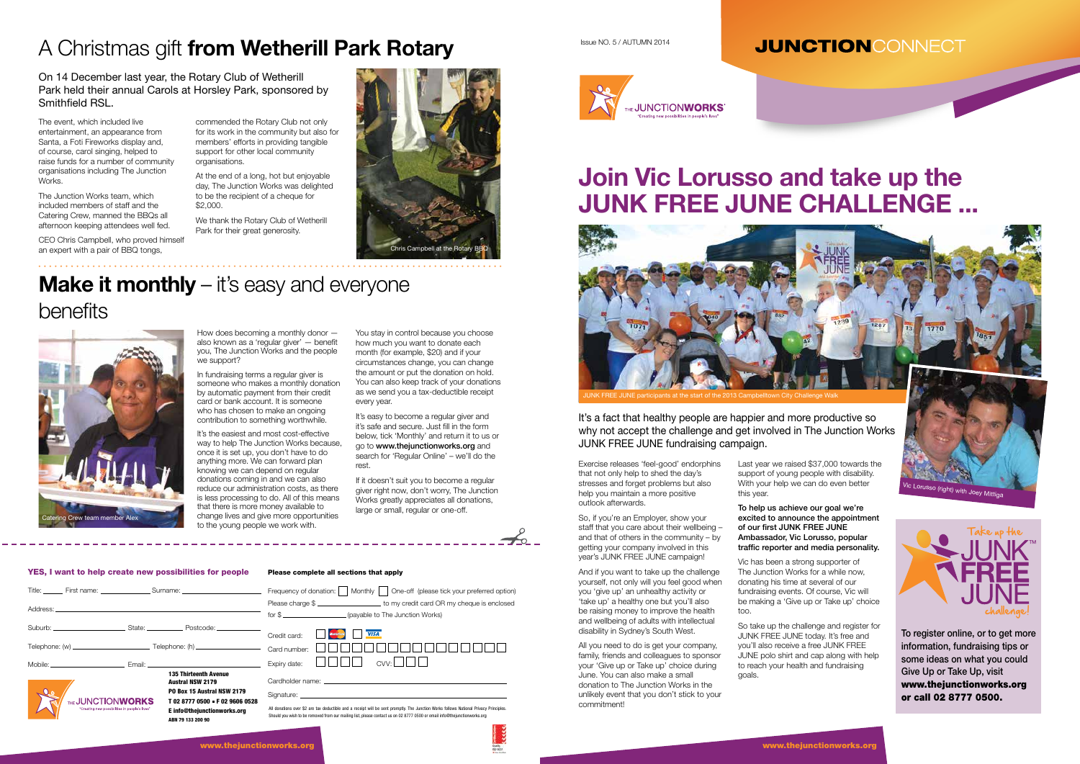Exercise releases 'feel-good' endorphins that not only help to shed the day's stresses and forget problems but also help you maintain a more positive outlook afterwards.

So, if you're an Employer, show your staff that you care about their wellbeing – and that of others in the community  $-\bar{b}y$ getting your company involved in this year's JUNK FREE JUNE campaign!

And if you want to take up the challenge yourself, not only will you feel good when you 'give up' an unhealthy activity or 'take up' a healthy one but you'll also be raising money to improve the health and wellbeing of adults with intellectual disability in Sydney's South West.

To help us achieve our goal we're excited to announce the appointment of our first JUNK FREE JUNE Ambassador, Vic Lorusso, popular traffic reporter and media personality.

All you need to do is get your company, family, friends and colleagues to sponsor your 'Give up or Take up' choice during June. You can also make a small donation to The Junction Works in the unlikely event that you don't stick to your commitment!

Last year we raised \$37,000 towards the support of young people with disability. With your help we can do even better this year.

Vic has been a strong supporter of The Junction Works for a while now, donating his time at several of our fundraising events. Of course, Vic will be making a 'Give up or Take up' choice too.

So take up the challenge and register for JUNK FREE JUNE today. It's free and you'll also receive a free JUNK FREE JUNE polo shirt and cap along with help to reach your health and fundraising goals.

In fundraising terms a regular giver is someone who makes a monthly donation by automatic payment from their credit card or bank account. It is someone who has chosen to make an ongoing contribution to something worthwhile.

#### YES, I want to help create new possibilities for people Please complete all sections that apply

| <b>TIONWORKS</b>                                                                                     |  | <b>Austral NSW 2179</b><br>PO Box 15 Austral NSW 2179<br>T 02 8777 0500 - F 02 9606 0528 | Cardholder name: the contract of the contract of the contract of the contract of the contract of the contract of the contract of the contract of the contract of the contract of the contract of the contract of the contract |
|------------------------------------------------------------------------------------------------------|--|------------------------------------------------------------------------------------------|-------------------------------------------------------------------------------------------------------------------------------------------------------------------------------------------------------------------------------|
| Mobile: Email: Email: Email: Email: Email: Email: Email: Email: Email: Email: Email: Email: Email: E |  | <b>135 Thirteenth Avenue</b>                                                             | Expiry date:<br>CVV:                                                                                                                                                                                                          |
|                                                                                                      |  |                                                                                          |                                                                                                                                                                                                                               |
|                                                                                                      |  | Suburb: Suburb: State: State: Postcode: Suburb:                                          | <b>VISA</b><br>Credit card:                                                                                                                                                                                                   |
|                                                                                                      |  |                                                                                          | Please charge \$<br>for \$                                                                                                                                                                                                    |
|                                                                                                      |  | Title: First name: Surname: Surname:                                                     | Frequency of donation:  <br>One-off (please tick your preferred option)<br>Monthly                                                                                                                                            |

Issue NO. 5 / AUTUMN 2014

#### **JUNCTIONCONNECT**



It's a fact that healthy people are happier and more productive so why not accept the challenge and get involved in The Junction Works JUNK FREE JUNE fundraising campaign.

# **Join Vic Lorusso and take up the JUNK FREE JUNE CHALLENGE ...**

### A Christmas gift **from Wetherill Park Rotary**

On 14 December last year, the Rotary Club of Wetherill Park held their annual Carols at Horsley Park, sponsored by Smithfield RSL.

> How does becoming a monthly donor also known as a 'regular giver' — benefit you, The Junction Works and the people we support?

It's the easiest and most cost-effective way to help The Junction Works because. once it is set up, you don't have to do anything more. We can forward plan knowing we can depend on regular donations coming in and we can also reduce our administration costs, as there is less processing to do. All of this means that there is more money available to change lives and give more opportunities to the young people we work with.

You stay in control because you choose how much you want to donate each month (for example, \$20) and if your circumstances change, you can change the amount or put the donation on hold. You can also keep track of your donations as we send you a tax-deductible receipt every year.

It's easy to become a regular giver and it's safe and secure. Just fill in the form below, tick 'Monthly' and return it to us or go to www.thejunctionworks.org and search for 'Regular Online' – we'll do the rest.

If it doesn't suit you to become a regular giver right now, don't worry, The Junction Works greatly appreciates all donations, large or small, regular or one-off.



To register online, or to get more information, fundraising tips or some ideas on what you could Give Up or Take Up, visit www.thejunctionworks.org or call 02 8777 0500.





# **Make it monthly** – it's easy and everyone

The event, which included live entertainment, an appearance from Santa, a Foti Fireworks display and, of course, carol singing, helped to raise funds for a number of community organisations including The Junction Works.

The Junction Works team, which included members of staff and the Catering Crew, manned the BBQs all afternoon keeping attendees well fed.

CEO Chris Campbell, who proved himself an expert with a pair of BBQ tongs,

commended the Rotary Club not only for its work in the community but also for members' efforts in providing tangible support for other local community organisations.

At the end of a long, hot but enjoyable day, The Junction Works was delighted to be the recipient of a cheque for \$2,000.

We thank the Rotary Club of Wetherill Park for their great generosity.